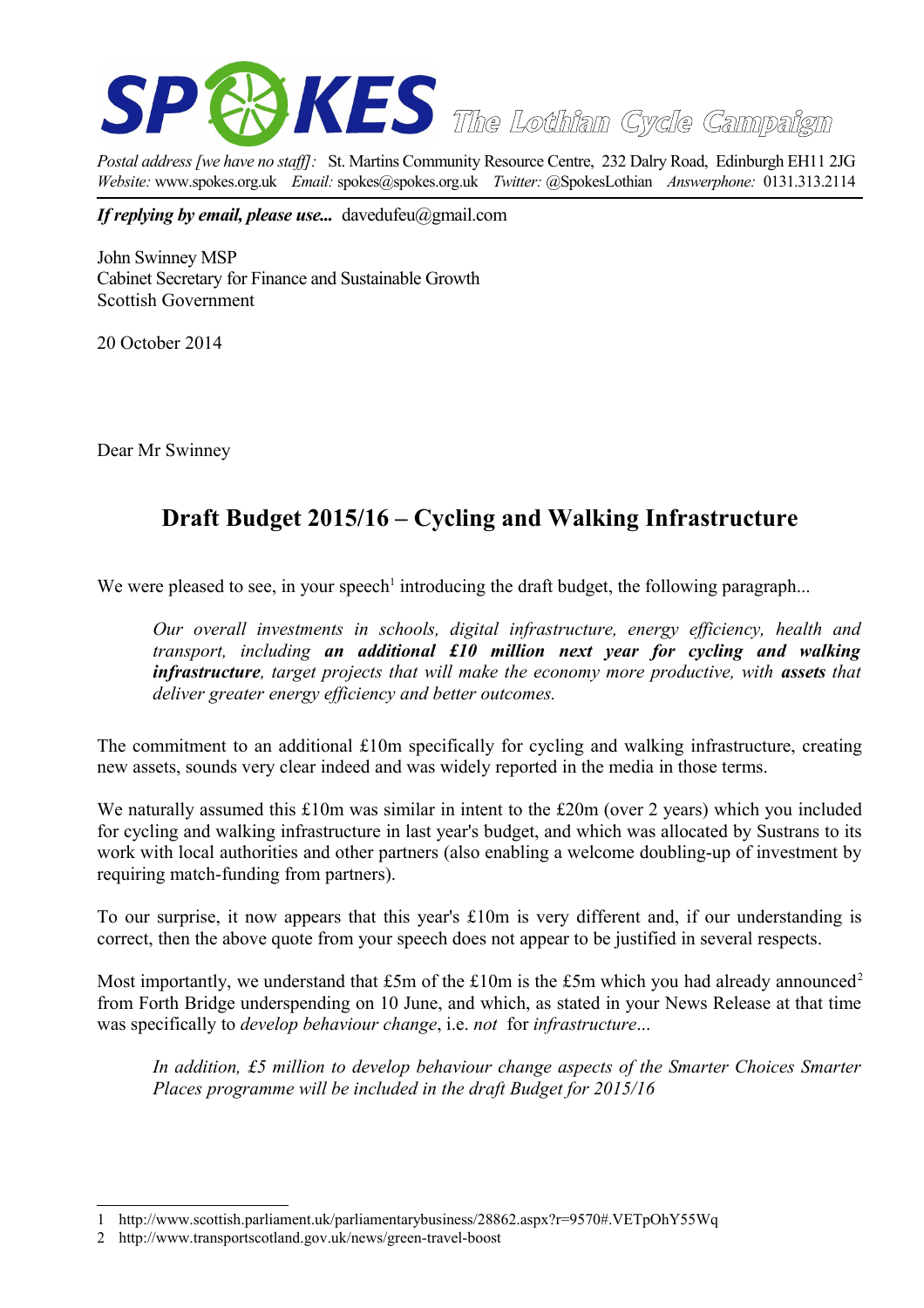

*Postal address [we have no staff]:* St. Martins Community Resource Centre, 232 Dalry Road, Edinburgh EH11 2JG *Website:* www.spokes.org.uk *Email:* spokes@spokes.org.uk *Twitter:* @SpokesLothian *Answerphone:* 0131.313.2114

*If replying by email, please use...* davedufeu@gmail.com

John Swinney MSP Cabinet Secretary for Finance and Sustainable Growth Scottish Government

20 October 2014

Dear Mr Swinney

## **Draft Budget 2015/16 – Cycling and Walking Infrastructure**

We were pleased to see, in your speech<sup>[1](#page-0-0)</sup> introducing the draft budget, the following paragraph...

*Our overall investments in schools, digital infrastructure, energy efficiency, health and transport, including an additional £10 million next year for cycling and walking infrastructure, target projects that will make the economy more productive, with assets that deliver greater energy efficiency and better outcomes.*

The commitment to an additional £10m specifically for cycling and walking infrastructure, creating new assets, sounds very clear indeed and was widely reported in the media in those terms.

We naturally assumed this £10m was similar in intent to the £20m (over 2 years) which you included for cycling and walking infrastructure in last year's budget, and which was allocated by Sustrans to its work with local authorities and other partners (also enabling a welcome doubling-up of investment by requiring match-funding from partners).

To our surprise, it now appears that this year's £10m is very different and, if our understanding is correct, then the above quote from your speech does not appear to be justified in several respects.

Most importantly, we understand that £5m of the £10m is the £5m which you had already announced<sup>[2](#page-0-1)</sup> from Forth Bridge underspending on 10 June, and which, as stated in your News Release at that time was specifically to *develop behaviour change*, i.e. *not* for *infrastructure*...

*In addition, £5 million to develop behaviour change aspects of the Smarter Choices Smarter Places programme will be included in the draft Budget for 2015/16*

<span id="page-0-0"></span><sup>1</sup> http://www.scottish.parliament.uk/parliamentarybusiness/28862.aspx?r=9570#.VETpOhY55Wq

<span id="page-0-1"></span><sup>2</sup> http://www.transportscotland.gov.uk/news/green-travel-boost